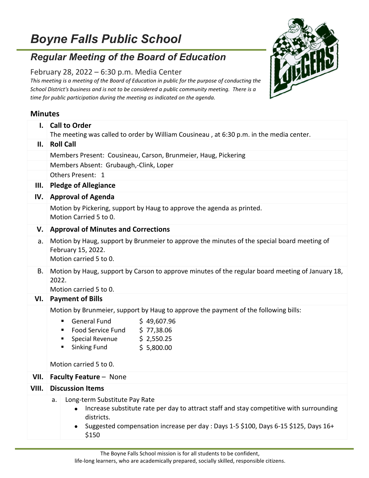## *Boyne Falls Public School*

## *Regular Meeting of the Board of Education*

## February 28, 2022 – 6:30 p.m. Media Center

*This meeting is a meeting of the Board of Education in public for the purpose of conducting the School District's business and is not to be considered a public community meeting. There is a time for public participation during the meeting as indicated on the agenda.*

## **Minutes**

| $\mathbf{I}$ . | <b>Call to Order</b>                                                                                                                                                                                                                         |  |  |  |
|----------------|----------------------------------------------------------------------------------------------------------------------------------------------------------------------------------------------------------------------------------------------|--|--|--|
| II.            | The meeting was called to order by William Cousineau, at 6:30 p.m. in the media center.<br><b>Roll Call</b>                                                                                                                                  |  |  |  |
|                | Members Present: Cousineau, Carson, Brunmeier, Haug, Pickering                                                                                                                                                                               |  |  |  |
|                | Members Absent: Grubaugh,-Clink, Loper                                                                                                                                                                                                       |  |  |  |
|                | Others Present: 1                                                                                                                                                                                                                            |  |  |  |
| Ш.             | <b>Pledge of Allegiance</b>                                                                                                                                                                                                                  |  |  |  |
| IV.            | <b>Approval of Agenda</b>                                                                                                                                                                                                                    |  |  |  |
|                | Motion by Pickering, support by Haug to approve the agenda as printed.<br>Motion Carried 5 to 0.                                                                                                                                             |  |  |  |
| V.             | <b>Approval of Minutes and Corrections</b>                                                                                                                                                                                                   |  |  |  |
| a.             | Motion by Haug, support by Brunmeier to approve the minutes of the special board meeting of<br>February 15, 2022.<br>Motion carried 5 to 0.                                                                                                  |  |  |  |
| В.             | Motion by Haug, support by Carson to approve minutes of the regular board meeting of January 18,<br>2022.<br>Motion carried 5 to 0.                                                                                                          |  |  |  |
| VI.            | <b>Payment of Bills</b>                                                                                                                                                                                                                      |  |  |  |
|                | Motion by Brunmeier, support by Haug to approve the payment of the following bills:                                                                                                                                                          |  |  |  |
|                | <b>General Fund</b><br>\$49,607.96<br>٠<br>Food Service Fund<br>\$77,38.06<br>ш<br>Special Revenue<br>\$2,550.25<br><b>Sinking Fund</b><br>\$5,800.00<br>٠<br>Motion carried 5 to 0.                                                         |  |  |  |
| VII.           | <b>Faculty Feature - None</b>                                                                                                                                                                                                                |  |  |  |
| VIII.          | <b>Discussion Items</b>                                                                                                                                                                                                                      |  |  |  |
|                | Long-term Substitute Pay Rate<br>a.<br>Increase substitute rate per day to attract staff and stay competitive with surrounding<br>districts.<br>Suggested compensation increase per day : Days 1-5 \$100, Days 6-15 \$125, Days 16+<br>\$150 |  |  |  |

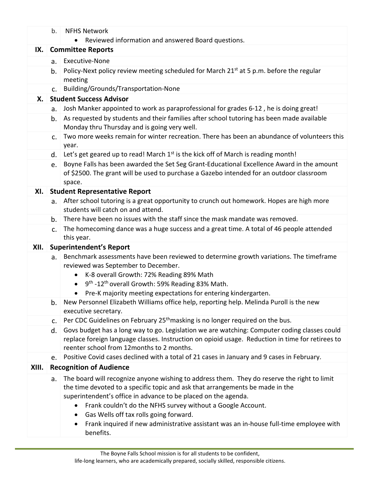|       | b.                       | <b>NFHS Network</b>                                                                                                                                                                                                                                                                                                                                                                                                                                                                      |  |
|-------|--------------------------|------------------------------------------------------------------------------------------------------------------------------------------------------------------------------------------------------------------------------------------------------------------------------------------------------------------------------------------------------------------------------------------------------------------------------------------------------------------------------------------|--|
|       |                          | Reviewed information and answered Board questions.                                                                                                                                                                                                                                                                                                                                                                                                                                       |  |
| IX.   | <b>Committee Reports</b> |                                                                                                                                                                                                                                                                                                                                                                                                                                                                                          |  |
|       | a.                       | Executive-None                                                                                                                                                                                                                                                                                                                                                                                                                                                                           |  |
|       | b.                       | Policy-Next policy review meeting scheduled for March 21 <sup>st</sup> at 5 p.m. before the regular<br>meeting                                                                                                                                                                                                                                                                                                                                                                           |  |
|       | C <sub>1</sub>           | Building/Grounds/Transportation-None                                                                                                                                                                                                                                                                                                                                                                                                                                                     |  |
| Х.    |                          | <b>Student Success Advisor</b>                                                                                                                                                                                                                                                                                                                                                                                                                                                           |  |
|       | a.                       | Josh Manker appointed to work as paraprofessional for grades 6-12, he is doing great!                                                                                                                                                                                                                                                                                                                                                                                                    |  |
|       | b.                       | As requested by students and their families after school tutoring has been made available<br>Monday thru Thursday and is going very well.                                                                                                                                                                                                                                                                                                                                                |  |
|       | C <sub>1</sub>           | Two more weeks remain for winter recreation. There has been an abundance of volunteers this<br>year.                                                                                                                                                                                                                                                                                                                                                                                     |  |
|       | d.                       | Let's get geared up to read! March $1st$ is the kick off of March is reading month!                                                                                                                                                                                                                                                                                                                                                                                                      |  |
|       | e.                       | Boyne Falls has been awarded the Set Seg Grant-Educational Excellence Award in the amount<br>of \$2500. The grant will be used to purchase a Gazebo intended for an outdoor classroom<br>space.                                                                                                                                                                                                                                                                                          |  |
| XI.   |                          | <b>Student Representative Report</b>                                                                                                                                                                                                                                                                                                                                                                                                                                                     |  |
|       | a.                       | After school tutoring is a great opportunity to crunch out homework. Hopes are high more<br>students will catch on and attend.                                                                                                                                                                                                                                                                                                                                                           |  |
|       | b.                       | There have been no issues with the staff since the mask mandate was removed.                                                                                                                                                                                                                                                                                                                                                                                                             |  |
|       | c.                       | The homecoming dance was a huge success and a great time. A total of 46 people attended<br>this year.                                                                                                                                                                                                                                                                                                                                                                                    |  |
| XII.  |                          | <b>Superintendent's Report</b>                                                                                                                                                                                                                                                                                                                                                                                                                                                           |  |
|       | a.                       | Benchmark assessments have been reviewed to determine growth variations. The timeframe<br>reviewed was September to December.                                                                                                                                                                                                                                                                                                                                                            |  |
|       |                          | K-8 overall Growth: 72% Reading 89% Math<br>$\bullet$                                                                                                                                                                                                                                                                                                                                                                                                                                    |  |
|       |                          | 9 <sup>th</sup> -12 <sup>th</sup> overall Growth: 59% Reading 83% Math.<br>$\bullet$                                                                                                                                                                                                                                                                                                                                                                                                     |  |
|       |                          | Pre-K majority meeting expectations for entering kindergarten.                                                                                                                                                                                                                                                                                                                                                                                                                           |  |
|       | b.                       | New Personnel Elizabeth Williams office help, reporting help. Melinda Puroll is the new<br>executive secretary.                                                                                                                                                                                                                                                                                                                                                                          |  |
|       | C.                       | Per CDC Guidelines on February 25 <sup>th</sup> masking is no longer required on the bus.                                                                                                                                                                                                                                                                                                                                                                                                |  |
|       | d.                       | Govs budget has a long way to go. Legislation we are watching: Computer coding classes could<br>replace foreign language classes. Instruction on opioid usage. Reduction in time for retirees to<br>reenter school from 12 months to 2 months.                                                                                                                                                                                                                                           |  |
|       | e.                       | Positive Covid cases declined with a total of 21 cases in January and 9 cases in February.                                                                                                                                                                                                                                                                                                                                                                                               |  |
| XIII. |                          | <b>Recognition of Audience</b>                                                                                                                                                                                                                                                                                                                                                                                                                                                           |  |
|       | a.                       | The board will recognize anyone wishing to address them. They do reserve the right to limit<br>the time devoted to a specific topic and ask that arrangements be made in the<br>superintendent's office in advance to be placed on the agenda.<br>Frank couldn't do the NFHS survey without a Google Account.<br>$\bullet$<br>Gas Wells off tax rolls going forward.<br>$\bullet$<br>Frank inquired if new administrative assistant was an in-house full-time employee with<br>$\bullet$ |  |
|       |                          | benefits.                                                                                                                                                                                                                                                                                                                                                                                                                                                                                |  |